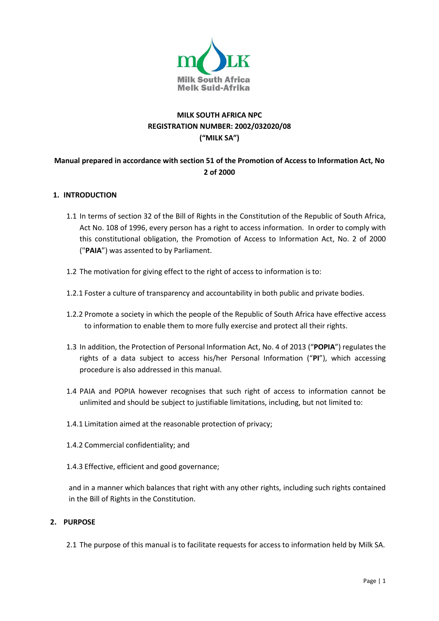

## **MILK SOUTH AFRICA NPC REGISTRATION NUMBER: 2002/032020/08 ("MILK SA")**

## **Manual prepared in accordance with section 51 of the Promotion of Access to Information Act, No 2 of 2000**

#### **1. INTRODUCTION**

- 1.1 In terms of section 32 of the Bill of Rights in the Constitution of the Republic of South Africa, Act No. 108 of 1996, every person has a right to access information. In order to comply with this constitutional obligation, the Promotion of Access to Information Act, No. 2 of 2000 ("**PAIA**") was assented to by Parliament.
- 1.2 The motivation for giving effect to the right of access to information is to:
- 1.2.1 Foster a culture of transparency and accountability in both public and private bodies.
- 1.2.2 Promote a society in which the people of the Republic of South Africa have effective access to information to enable them to more fully exercise and protect all their rights.
- 1.3 In addition, the Protection of Personal Information Act, No. 4 of 2013 ("**POPIA**") regulates the rights of a data subject to access his/her Personal Information ("**PI**"), which accessing procedure is also addressed in this manual.
- 1.4 PAIA and POPIA however recognises that such right of access to information cannot be unlimited and should be subject to justifiable limitations, including, but not limited to:
- 1.4.1 Limitation aimed at the reasonable protection of privacy;
- 1.4.2 Commercial confidentiality; and
- 1.4.3 Effective, efficient and good governance;

and in a manner which balances that right with any other rights, including such rights contained in the Bill of Rights in the Constitution.

#### **2. PURPOSE**

2.1 The purpose of this manual is to facilitate requests for access to information held by Milk SA.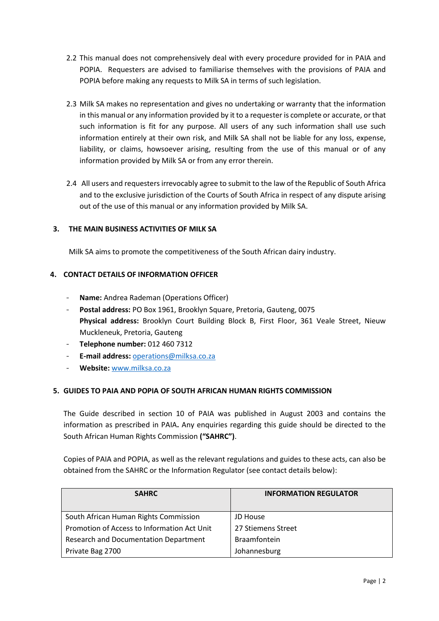- 2.2 This manual does not comprehensively deal with every procedure provided for in PAIA and POPIA. Requesters are advised to familiarise themselves with the provisions of PAIA and POPIA before making any requests to Milk SA in terms of such legislation.
- 2.3 Milk SA makes no representation and gives no undertaking or warranty that the information in this manual or any information provided by it to a requester is complete or accurate, or that such information is fit for any purpose. All users of any such information shall use such information entirely at their own risk, and Milk SA shall not be liable for any loss, expense, liability, or claims, howsoever arising, resulting from the use of this manual or of any information provided by Milk SA or from any error therein.
- 2.4 All users and requesters irrevocably agree to submit to the law of the Republic of South Africa and to the exclusive jurisdiction of the Courts of South Africa in respect of any dispute arising out of the use of this manual or any information provided by Milk SA.

## **3. THE MAIN BUSINESS ACTIVITIES OF MILK SA**

Milk SA aims to promote the competitiveness of the South African dairy industry.

## **4. CONTACT DETAILS OF INFORMATION OFFICER**

- **Name:** Andrea Rademan (Operations Officer)
- **Postal address:** PO Box 1961, Brooklyn Square, Pretoria, Gauteng, 0075 **Physical address:** Brooklyn Court Building Block B, First Floor, 361 Veale Street, Nieuw Muckleneuk, Pretoria, Gauteng
- **Telephone number:** 012 460 7312
- **E-mail address:** [operations@milksa.co.za](mailto:operations@milksa.co.za)
- **Website:** [www.milksa.co.za](http://www.milksa.co.za/)

## **5. GUIDES TO PAIA AND POPIA OF SOUTH AFRICAN HUMAN RIGHTS COMMISSION**

The Guide described in section 10 of PAIA was published in August 2003 and contains the information as prescribed in PAIA**.** Any enquiries regarding this guide should be directed to the South African Human Rights Commission **("SAHRC")**.

Copies of PAIA and POPIA, as well as the relevant regulations and guides to these acts, can also be obtained from the SAHRC or the Information Regulator (see contact details below):

| <b>SAHRC</b>                                | <b>INFORMATION REGULATOR</b> |
|---------------------------------------------|------------------------------|
| South African Human Rights Commission       | <b>JD House</b>              |
| Promotion of Access to Information Act Unit | 27 Stiemens Street           |
| Research and Documentation Department       | <b>Braamfontein</b>          |
| Private Bag 2700                            | Johannesburg                 |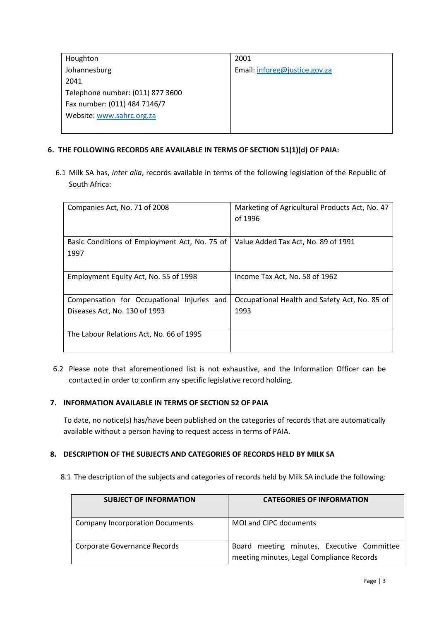| Houghton                         | 2001                          |
|----------------------------------|-------------------------------|
| Johannesburg                     | Email: inforeg@justice.gov.za |
| 2041                             |                               |
| Telephone number: (011) 877 3600 |                               |
| Fax number: (011) 484 7146/7     |                               |
| Website: www.sahrc.org.za        |                               |
|                                  |                               |

## **6. THE FOLLOWING RECORDS ARE AVAILABLE IN TERMS OF SECTION 51(1)(d) OF PAIA:**

6.1 Milk SA has, *inter alia*, records available in terms of the following legislation of the Republic of South Africa:

| Companies Act, No. 71 of 2008                                               | Marketing of Agricultural Products Act, No. 47<br>of 1996 |
|-----------------------------------------------------------------------------|-----------------------------------------------------------|
| Basic Conditions of Employment Act, No. 75 of<br>1997                       | Value Added Tax Act, No. 89 of 1991                       |
| Employment Equity Act, No. 55 of 1998                                       | Income Tax Act, No. 58 of 1962                            |
| Compensation for Occupational Injuries and<br>Diseases Act, No. 130 of 1993 | Occupational Health and Safety Act, No. 85 of<br>1993     |
|                                                                             |                                                           |
| The Labour Relations Act, No. 66 of 1995                                    |                                                           |

6.2 Please note that aforementioned list is not exhaustive, and the Information Officer can be contacted in order to confirm any specific legislative record holding.

## **7. INFORMATION AVAILABLE IN TERMS OF SECTION 52 OF PAIA**

To date, no notice(s) has/have been published on the categories of records that are automatically available without a person having to request access in terms of PAIA.

## **8. DESCRIPTION OF THE SUBJECTS AND CATEGORIES OF RECORDS HELD BY MILK SA**

8.1 The description of the subjects and categories of records held by Milk SA include the following:

| <b>SUBJECT OF INFORMATION</b>          | <b>CATEGORIES OF INFORMATION</b>                                                        |
|----------------------------------------|-----------------------------------------------------------------------------------------|
| <b>Company Incorporation Documents</b> | MOI and CIPC documents                                                                  |
| Corporate Governance Records           | Board meeting minutes, Executive Committee<br>meeting minutes, Legal Compliance Records |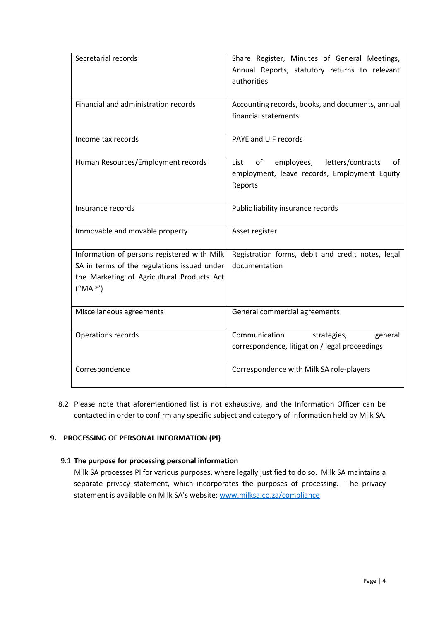| Secretarial records                         | Share Register, Minutes of General Meetings,               |
|---------------------------------------------|------------------------------------------------------------|
|                                             | Annual Reports, statutory returns to relevant              |
|                                             | authorities                                                |
|                                             |                                                            |
| Financial and administration records        | Accounting records, books, and documents, annual           |
|                                             | financial statements                                       |
|                                             |                                                            |
| Income tax records                          | PAYE and UIF records                                       |
|                                             |                                                            |
| Human Resources/Employment records          | letters/contracts<br>of<br>employees,<br><b>List</b><br>оf |
|                                             | employment, leave records, Employment Equity               |
|                                             | Reports                                                    |
|                                             |                                                            |
| Insurance records                           | Public liability insurance records                         |
|                                             |                                                            |
| Immovable and movable property              | Asset register                                             |
|                                             |                                                            |
| Information of persons registered with Milk | Registration forms, debit and credit notes, legal          |
| SA in terms of the regulations issued under | documentation                                              |
| the Marketing of Agricultural Products Act  |                                                            |
| ("MAP")                                     |                                                            |
|                                             |                                                            |
| Miscellaneous agreements                    | General commercial agreements                              |
|                                             |                                                            |
| Operations records                          | Communication<br>strategies,<br>general                    |
|                                             | correspondence, litigation / legal proceedings             |
|                                             |                                                            |
| Correspondence                              | Correspondence with Milk SA role-players                   |
|                                             |                                                            |

8.2 Please note that aforementioned list is not exhaustive, and the Information Officer can be contacted in order to confirm any specific subject and category of information held by Milk SA.

## **9. PROCESSING OF PERSONAL INFORMATION (PI)**

#### 9.1 **The purpose for processing personal information**

Milk SA processes PI for various purposes, where legally justified to do so. Milk SA maintains a separate privacy statement, which incorporates the purposes of processing. The privacy statement is available on Milk SA's website: [www.milksa.co.za/compliance](http://www.milksa.co.za/compliance)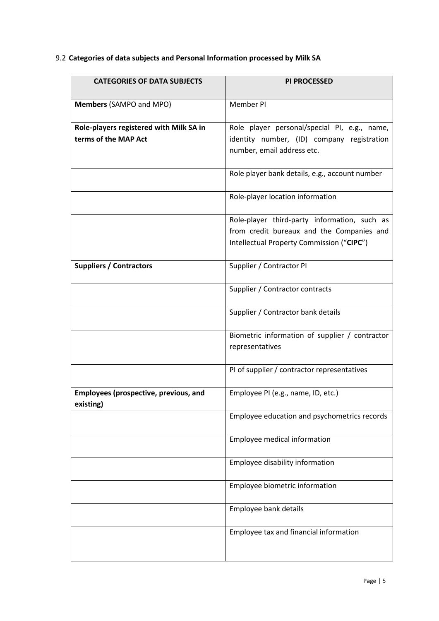## 9.2 **Categories of data subjects and Personal Information processed by Milk SA**

| <b>CATEGORIES OF DATA SUBJECTS</b>                        | <b>PI PROCESSED</b>                            |
|-----------------------------------------------------------|------------------------------------------------|
|                                                           |                                                |
| Members (SAMPO and MPO)                                   | Member PI                                      |
| Role-players registered with Milk SA in                   | Role player personal/special PI, e.g., name,   |
| terms of the MAP Act                                      | identity number, (ID) company registration     |
|                                                           | number, email address etc.                     |
|                                                           | Role player bank details, e.g., account number |
|                                                           | Role-player location information               |
|                                                           | Role-player third-party information, such as   |
|                                                           | from credit bureaux and the Companies and      |
|                                                           | Intellectual Property Commission ("CIPC")      |
| <b>Suppliers / Contractors</b>                            | Supplier / Contractor PI                       |
|                                                           | Supplier / Contractor contracts                |
|                                                           | Supplier / Contractor bank details             |
|                                                           | Biometric information of supplier / contractor |
|                                                           | representatives                                |
|                                                           | PI of supplier / contractor representatives    |
| <b>Employees (prospective, previous, and</b><br>existing) | Employee PI (e.g., name, ID, etc.)             |
|                                                           | Employee education and psychometrics records   |
|                                                           | Employee medical information                   |
|                                                           | Employee disability information                |
|                                                           | Employee biometric information                 |
|                                                           | Employee bank details                          |
|                                                           | Employee tax and financial information         |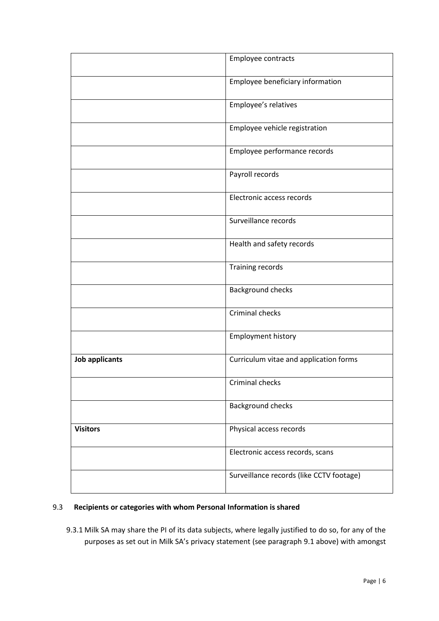|                       | Employee contracts                       |
|-----------------------|------------------------------------------|
|                       | Employee beneficiary information         |
|                       | Employee's relatives                     |
|                       | Employee vehicle registration            |
|                       | Employee performance records             |
|                       | Payroll records                          |
|                       | Electronic access records                |
|                       | Surveillance records                     |
|                       | Health and safety records                |
|                       | Training records                         |
|                       | Background checks                        |
|                       | Criminal checks                          |
|                       | <b>Employment history</b>                |
| <b>Job applicants</b> | Curriculum vitae and application forms   |
|                       | Criminal checks                          |
|                       | <b>Background checks</b>                 |
| <b>Visitors</b>       | Physical access records                  |
|                       | Electronic access records, scans         |
|                       | Surveillance records (like CCTV footage) |
|                       |                                          |

# 9.3 **Recipients or categories with whom Personal Information is shared**

9.3.1 Milk SA may share the PI of its data subjects, where legally justified to do so, for any of the purposes as set out in Milk SA's privacy statement (see paragraph 9.1 above) with amongst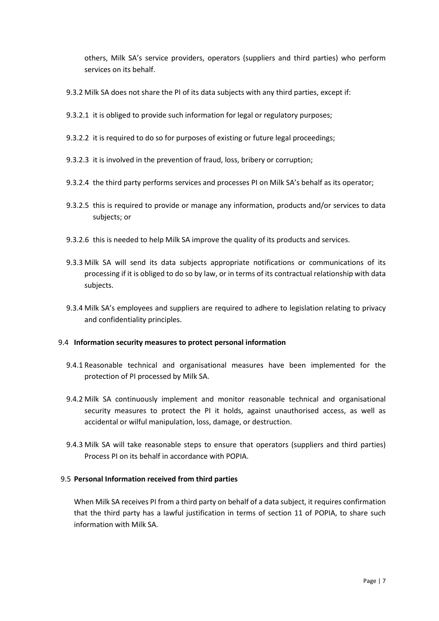others, Milk SA's service providers, operators (suppliers and third parties) who perform services on its behalf.

- 9.3.2 Milk SA does not share the PI of its data subjects with any third parties, except if:
- 9.3.2.1 it is obliged to provide such information for legal or regulatory purposes;
- 9.3.2.2 it is required to do so for purposes of existing or future legal proceedings;
- 9.3.2.3 it is involved in the prevention of fraud, loss, bribery or corruption;
- 9.3.2.4 the third party performs services and processes PI on Milk SA's behalf as its operator;
- 9.3.2.5 this is required to provide or manage any information, products and/or services to data subjects; or
- 9.3.2.6 this is needed to help Milk SA improve the quality of its products and services.
- 9.3.3 Milk SA will send its data subjects appropriate notifications or communications of its processing if it is obliged to do so by law, or in terms of its contractual relationship with data subjects.
- 9.3.4 Milk SA's employees and suppliers are required to adhere to legislation relating to privacy and confidentiality principles.

#### 9.4 **Information security measures to protect personal information**

- 9.4.1 Reasonable technical and organisational measures have been implemented for the protection of PI processed by Milk SA.
- 9.4.2 Milk SA continuously implement and monitor reasonable technical and organisational security measures to protect the PI it holds, against unauthorised access, as well as accidental or wilful manipulation, loss, damage, or destruction.
- 9.4.3 Milk SA will take reasonable steps to ensure that operators (suppliers and third parties) Process PI on its behalf in accordance with POPIA.

#### 9.5 **Personal Information received from third parties**

When Milk SA receives PI from a third party on behalf of a data subject, it requires confirmation that the third party has a lawful justification in terms of section 11 of POPIA, to share such information with Milk SA.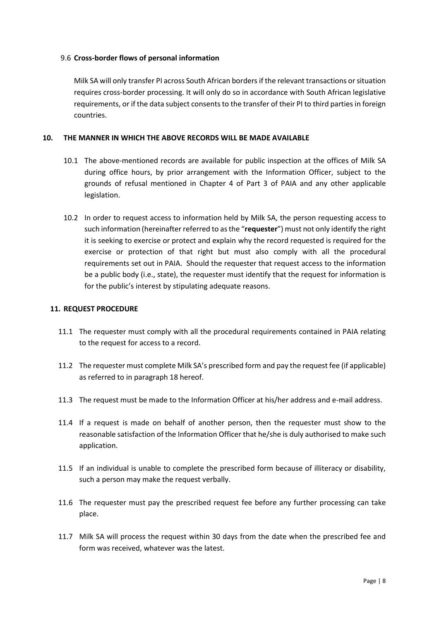#### 9.6 **Cross-border flows of personal information**

Milk SA will only transfer PI across South African borders if the relevant transactions or situation requires cross-border processing. It will only do so in accordance with South African legislative requirements, or if the data subject consents to the transfer of their PI to third parties in foreign countries.

#### **10. THE MANNER IN WHICH THE ABOVE RECORDS WILL BE MADE AVAILABLE**

- 10.1 The above-mentioned records are available for public inspection at the offices of Milk SA during office hours, by prior arrangement with the Information Officer, subject to the grounds of refusal mentioned in Chapter 4 of Part 3 of PAIA and any other applicable legislation.
- 10.2 In order to request access to information held by Milk SA, the person requesting access to such information (hereinafter referred to as the "**requester**") must not only identify the right it is seeking to exercise or protect and explain why the record requested is required for the exercise or protection of that right but must also comply with all the procedural requirements set out in PAIA. Should the requester that request access to the information be a public body (i.e., state), the requester must identify that the request for information is for the public's interest by stipulating adequate reasons.

#### **11. REQUEST PROCEDURE**

- 11.1 The requester must comply with all the procedural requirements contained in PAIA relating to the request for access to a record.
- 11.2 The requester must complete Milk SA's prescribed form and pay the request fee (if applicable) as referred to in paragraph 18 hereof.
- 11.3 The request must be made to the Information Officer at his/her address and e-mail address.
- 11.4 If a request is made on behalf of another person, then the requester must show to the reasonable satisfaction of the Information Officer that he/she is duly authorised to make such application.
- 11.5 If an individual is unable to complete the prescribed form because of illiteracy or disability, such a person may make the request verbally.
- 11.6 The requester must pay the prescribed request fee before any further processing can take place.
- 11.7 Milk SA will process the request within 30 days from the date when the prescribed fee and form was received, whatever was the latest.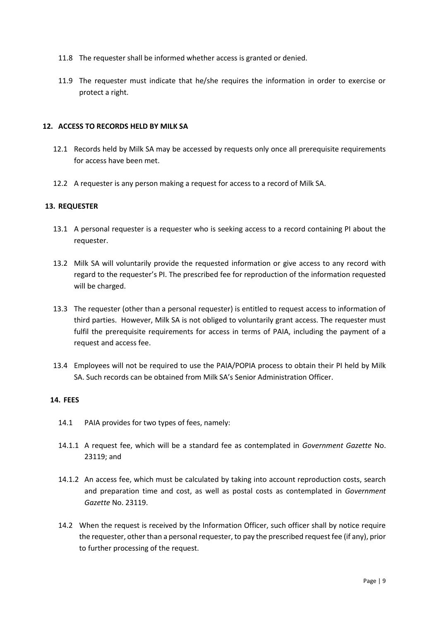- 11.8 The requester shall be informed whether access is granted or denied.
- 11.9 The requester must indicate that he/she requires the information in order to exercise or protect a right.

#### **12. ACCESS TO RECORDS HELD BY MILK SA**

- 12.1 Records held by Milk SA may be accessed by requests only once all prerequisite requirements for access have been met.
- 12.2 A requester is any person making a request for access to a record of Milk SA.

#### **13. REQUESTER**

- 13.1 A personal requester is a requester who is seeking access to a record containing PI about the requester.
- 13.2 Milk SA will voluntarily provide the requested information or give access to any record with regard to the requester's PI. The prescribed fee for reproduction of the information requested will be charged.
- 13.3 The requester (other than a personal requester) is entitled to request access to information of third parties. However, Milk SA is not obliged to voluntarily grant access. The requester must fulfil the prerequisite requirements for access in terms of PAIA, including the payment of a request and access fee.
- 13.4 Employees will not be required to use the PAIA/POPIA process to obtain their PI held by Milk SA. Such records can be obtained from Milk SA's Senior Administration Officer.

#### **14. FEES**

- 14.1 PAIA provides for two types of fees, namely:
- 14.1.1 A request fee, which will be a standard fee as contemplated in *Government Gazette* No. 23119; and
- 14.1.2 An access fee, which must be calculated by taking into account reproduction costs, search and preparation time and cost, as well as postal costs as contemplated in *Government Gazette* No. 23119.
- 14.2 When the request is received by the Information Officer, such officer shall by notice require the requester, other than a personal requester, to pay the prescribed request fee (if any), prior to further processing of the request.